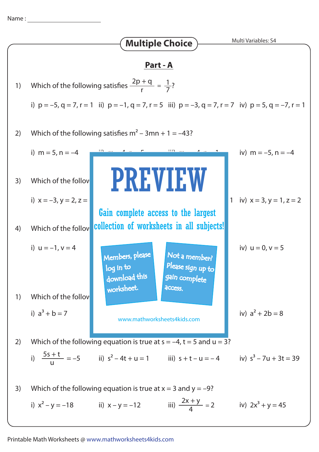